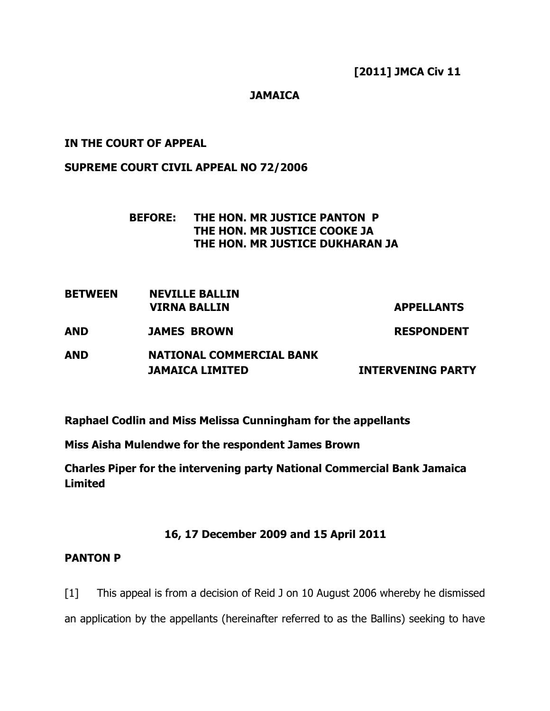### JAMAICA

### IN THE COURT OF APPEAL

### SUPREME COURT CIVIL APPEAL NO 72/2006

### BEFORE: THE HON. MR JUSTICE PANTON P THE HON. MR JUSTICE COOKE JA THE HON. MR JUSTICE DUKHARAN JA

BETWEEN NEVILLE BALLIN VIRNA BALLIN APPELLANTS

AND JAMES BROWN RESPONDENT

# AND NATIONAL COMMERCIAL BANK **JAMAICA LIMITED INTERVENING PARTY**

Raphael Codlin and Miss Melissa Cunningham for the appellants

Miss Aisha Mulendwe for the respondent James Brown

Charles Piper for the intervening party National Commercial Bank Jamaica Limited

### 16, 17 December 2009 and 15 April 2011

### PANTON P

[1] This appeal is from a decision of Reid J on 10 August 2006 whereby he dismissed an application by the appellants (hereinafter referred to as the Ballins) seeking to have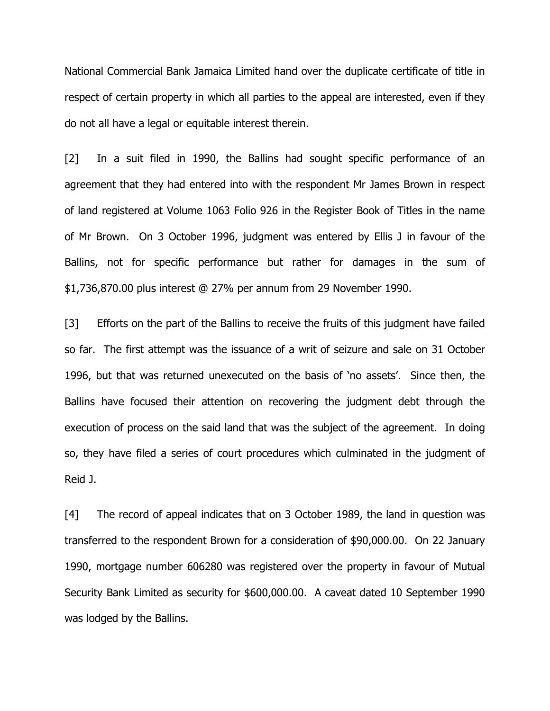National Commercial Bank Jamaica Limited hand over the duplicate certificate of title in respect of certain property in which all parties to the appeal are interested, even if they do not all have a legal or equitable interest therein.

[2] In a suit filed in 1990, the Ballins had sought specific performance of an agreement that they had entered into with the respondent Mr James Brown in respect of land registered at Volume 1063 Folio 926 in the Register Book of Titles in the name of Mr Brown. On 3 October 1996, judgment was entered by Ellis J in favour of the Ballins, not for specific performance but rather for damages in the sum of \$1,736,870.00 plus interest @ 27% per annum from 29 November 1990.

[3] Efforts on the part of the Ballins to receive the fruits of this judgment have failed so far. The first attempt was the issuance of a writ of seizure and sale on 31 October 1996, but that was returned unexecuted on the basis of 'no assets'. Since then, the Ballins have focused their attention on recovering the judgment debt through the execution of process on the said land that was the subject of the agreement. In doing so, they have filed a series of court procedures which culminated in the judgment of Reid J.

[4] The record of appeal indicates that on 3 October 1989, the land in question was transferred to the respondent Brown for a consideration of \$90,000.00. On 22 January 1990, mortgage number 606280 was registered over the property in favour of Mutual Security Bank Limited as security for \$600,000.00. A caveat dated 10 September 1990 was lodged by the Ballins.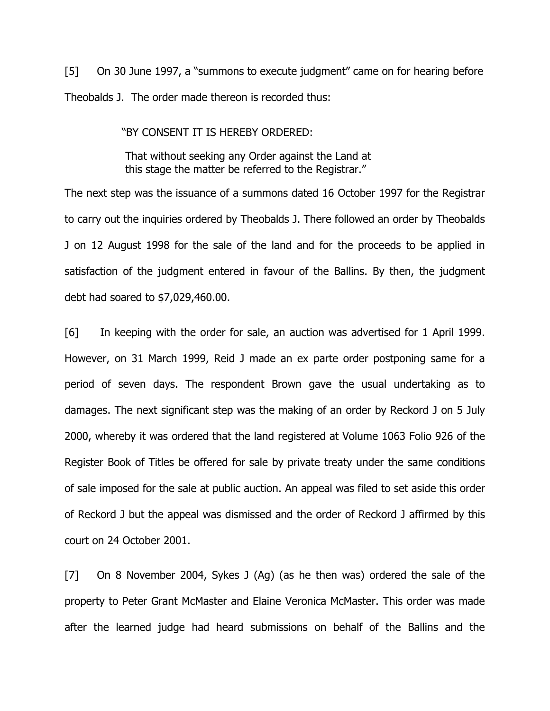[5] On 30 June 1997, a "summons to execute judgment" came on for hearing before Theobalds J. The order made thereon is recorded thus:

"BY CONSENT IT IS HEREBY ORDERED:

 That without seeking any Order against the Land at this stage the matter be referred to the Registrar."

The next step was the issuance of a summons dated 16 October 1997 for the Registrar to carry out the inquiries ordered by Theobalds J. There followed an order by Theobalds J on 12 August 1998 for the sale of the land and for the proceeds to be applied in satisfaction of the judgment entered in favour of the Ballins. By then, the judgment debt had soared to \$7,029,460.00.

[6] In keeping with the order for sale, an auction was advertised for 1 April 1999. However, on 31 March 1999, Reid J made an ex parte order postponing same for a period of seven days. The respondent Brown gave the usual undertaking as to damages. The next significant step was the making of an order by Reckord J on 5 July 2000, whereby it was ordered that the land registered at Volume 1063 Folio 926 of the Register Book of Titles be offered for sale by private treaty under the same conditions of sale imposed for the sale at public auction. An appeal was filed to set aside this order of Reckord J but the appeal was dismissed and the order of Reckord J affirmed by this court on 24 October 2001.

[7] On 8 November 2004, Sykes J (Ag) (as he then was) ordered the sale of the property to Peter Grant McMaster and Elaine Veronica McMaster. This order was made after the learned judge had heard submissions on behalf of the Ballins and the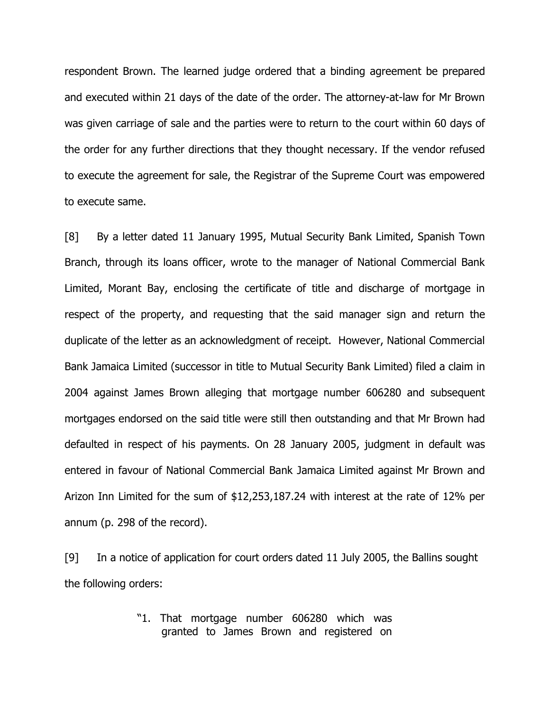respondent Brown. The learned judge ordered that a binding agreement be prepared and executed within 21 days of the date of the order. The attorney-at-law for Mr Brown was given carriage of sale and the parties were to return to the court within 60 days of the order for any further directions that they thought necessary. If the vendor refused to execute the agreement for sale, the Registrar of the Supreme Court was empowered to execute same.

[8] By a letter dated 11 January 1995, Mutual Security Bank Limited, Spanish Town Branch, through its loans officer, wrote to the manager of National Commercial Bank Limited, Morant Bay, enclosing the certificate of title and discharge of mortgage in respect of the property, and requesting that the said manager sign and return the duplicate of the letter as an acknowledgment of receipt. However, National Commercial Bank Jamaica Limited (successor in title to Mutual Security Bank Limited) filed a claim in 2004 against James Brown alleging that mortgage number 606280 and subsequent mortgages endorsed on the said title were still then outstanding and that Mr Brown had defaulted in respect of his payments. On 28 January 2005, judgment in default was entered in favour of National Commercial Bank Jamaica Limited against Mr Brown and Arizon Inn Limited for the sum of \$12,253,187.24 with interest at the rate of 12% per annum (p. 298 of the record).

[9] In a notice of application for court orders dated 11 July 2005, the Ballins sought the following orders:

> "1. That mortgage number 606280 which was granted to James Brown and registered on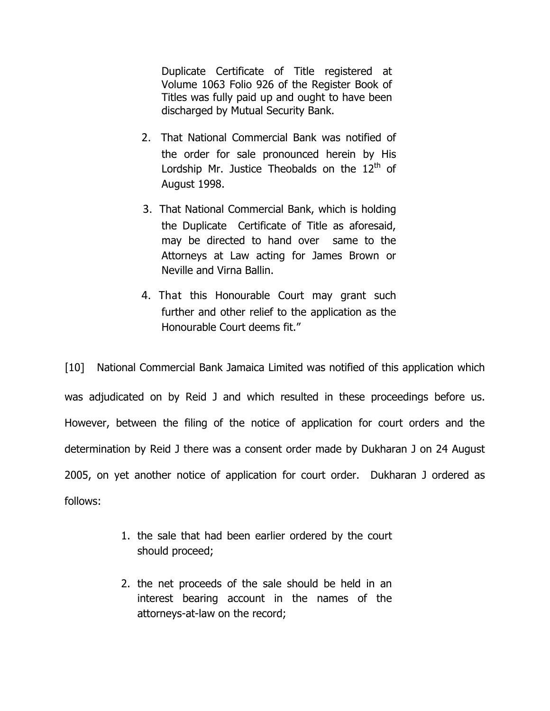Duplicate Certificate of Title registered at Volume 1063 Folio 926 of the Register Book of Titles was fully paid up and ought to have been discharged by Mutual Security Bank.

- 2. That National Commercial Bank was notified of the order for sale pronounced herein by His Lordship Mr. Justice Theobalds on the  $12<sup>th</sup>$  of August 1998.
- 3. That National Commercial Bank, which is holding the Duplicate Certificate of Title as aforesaid, may be directed to hand over same to the Attorneys at Law acting for James Brown or Neville and Virna Ballin.
- 4. That this Honourable Court may grant such further and other relief to the application as the Honourable Court deems fit."

[10] National Commercial Bank Jamaica Limited was notified of this application which was adjudicated on by Reid J and which resulted in these proceedings before us. However, between the filing of the notice of application for court orders and the determination by Reid J there was a consent order made by Dukharan J on 24 August 2005, on yet another notice of application for court order. Dukharan J ordered as follows:

- 1. the sale that had been earlier ordered by the court should proceed;
- 2. the net proceeds of the sale should be held in an interest bearing account in the names of the attorneys-at-law on the record;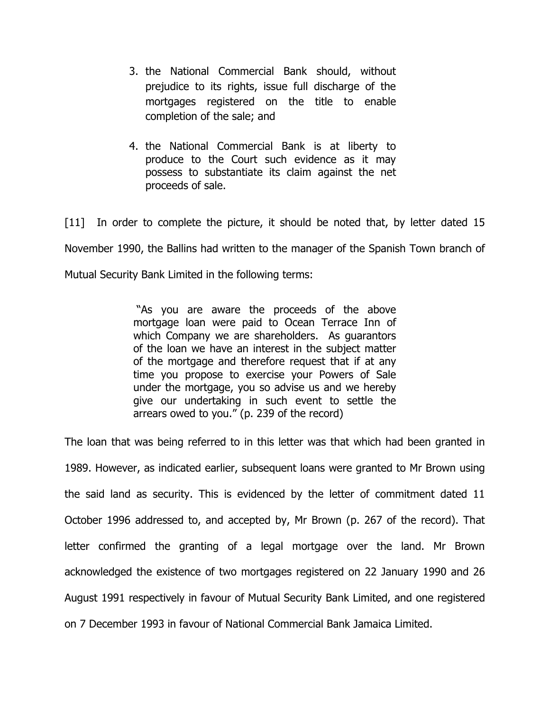- 3. the National Commercial Bank should, without prejudice to its rights, issue full discharge of the mortgages registered on the title to enable completion of the sale; and
- 4. the National Commercial Bank is at liberty to produce to the Court such evidence as it may possess to substantiate its claim against the net proceeds of sale.

[11] In order to complete the picture, it should be noted that, by letter dated 15 November 1990, the Ballins had written to the manager of the Spanish Town branch of Mutual Security Bank Limited in the following terms:

> "As you are aware the proceeds of the above mortgage loan were paid to Ocean Terrace Inn of which Company we are shareholders. As quarantors of the loan we have an interest in the subject matter of the mortgage and therefore request that if at any time you propose to exercise your Powers of Sale under the mortgage, you so advise us and we hereby give our undertaking in such event to settle the arrears owed to you." (p. 239 of the record)

The loan that was being referred to in this letter was that which had been granted in 1989. However, as indicated earlier, subsequent loans were granted to Mr Brown using the said land as security. This is evidenced by the letter of commitment dated 11 October 1996 addressed to, and accepted by, Mr Brown (p. 267 of the record). That letter confirmed the granting of a legal mortgage over the land. Mr Brown acknowledged the existence of two mortgages registered on 22 January 1990 and 26 August 1991 respectively in favour of Mutual Security Bank Limited, and one registered on 7 December 1993 in favour of National Commercial Bank Jamaica Limited.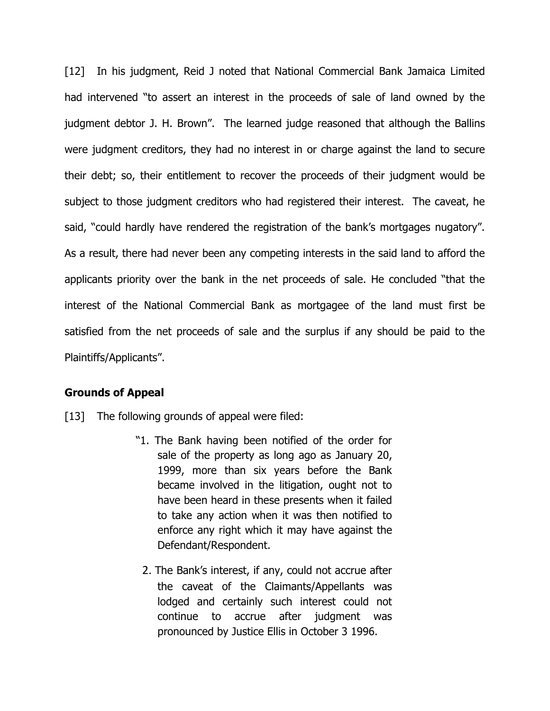[12] In his judgment, Reid J noted that National Commercial Bank Jamaica Limited had intervened "to assert an interest in the proceeds of sale of land owned by the judgment debtor J. H. Brown". The learned judge reasoned that although the Ballins were judgment creditors, they had no interest in or charge against the land to secure their debt; so, their entitlement to recover the proceeds of their judgment would be subject to those judgment creditors who had registered their interest. The caveat, he said, "could hardly have rendered the registration of the bank's mortgages nugatory". As a result, there had never been any competing interests in the said land to afford the applicants priority over the bank in the net proceeds of sale. He concluded "that the interest of the National Commercial Bank as mortgagee of the land must first be satisfied from the net proceeds of sale and the surplus if any should be paid to the Plaintiffs/Applicants".

#### Grounds of Appeal

- [13] The following grounds of appeal were filed:
	- "1. The Bank having been notified of the order for sale of the property as long ago as January 20, 1999, more than six years before the Bank became involved in the litigation, ought not to have been heard in these presents when it failed to take any action when it was then notified to enforce any right which it may have against the Defendant/Respondent.
		- 2. The Bank's interest, if any, could not accrue after the caveat of the Claimants/Appellants was lodged and certainly such interest could not continue to accrue after judgment was pronounced by Justice Ellis in October 3 1996.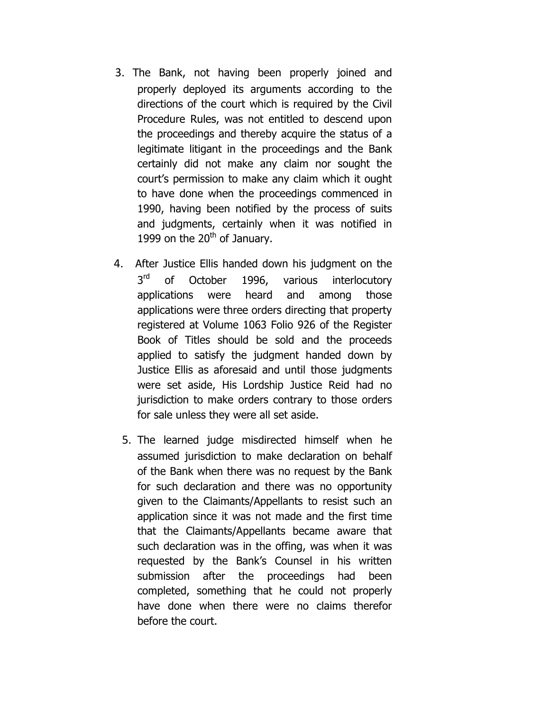- 3. The Bank, not having been properly joined and properly deployed its arguments according to the directions of the court which is required by the Civil Procedure Rules, was not entitled to descend upon the proceedings and thereby acquire the status of a legitimate litigant in the proceedings and the Bank certainly did not make any claim nor sought the court's permission to make any claim which it ought to have done when the proceedings commenced in 1990, having been notified by the process of suits and judgments, certainly when it was notified in 1999 on the  $20<sup>th</sup>$  of January.
- 4. After Justice Ellis handed down his judgment on the 3rd of October 1996, various interlocutory applications were heard and among those applications were three orders directing that property registered at Volume 1063 Folio 926 of the Register Book of Titles should be sold and the proceeds applied to satisfy the judgment handed down by Justice Ellis as aforesaid and until those judgments were set aside, His Lordship Justice Reid had no jurisdiction to make orders contrary to those orders for sale unless they were all set aside.
	- 5. The learned judge misdirected himself when he assumed jurisdiction to make declaration on behalf of the Bank when there was no request by the Bank for such declaration and there was no opportunity given to the Claimants/Appellants to resist such an application since it was not made and the first time that the Claimants/Appellants became aware that such declaration was in the offing, was when it was requested by the Bank's Counsel in his written submission after the proceedings had been completed, something that he could not properly have done when there were no claims therefor before the court.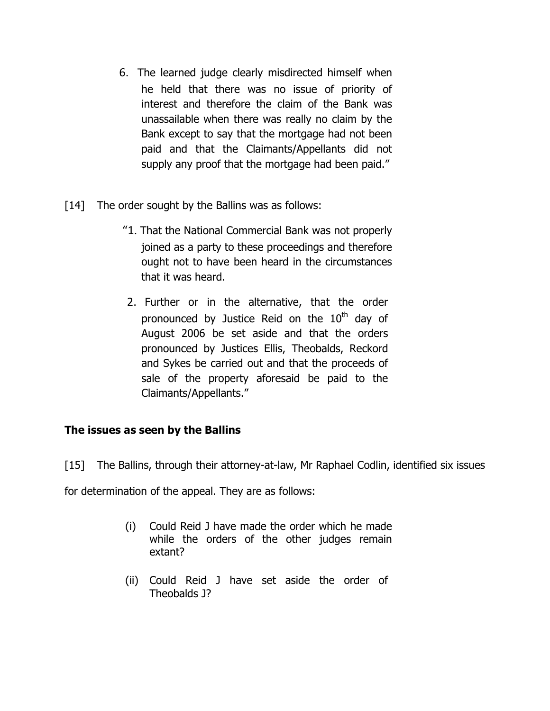- 6. The learned judge clearly misdirected himself when he held that there was no issue of priority of interest and therefore the claim of the Bank was unassailable when there was really no claim by the Bank except to say that the mortgage had not been paid and that the Claimants/Appellants did not supply any proof that the mortgage had been paid."
- [14] The order sought by the Ballins was as follows:
	- "1. That the National Commercial Bank was not properly joined as a party to these proceedings and therefore ought not to have been heard in the circumstances that it was heard.
	- 2. Further or in the alternative, that the order pronounced by Justice Reid on the 10<sup>th</sup> day of August 2006 be set aside and that the orders pronounced by Justices Ellis, Theobalds, Reckord and Sykes be carried out and that the proceeds of sale of the property aforesaid be paid to the Claimants/Appellants."

# The issues as seen by the Ballins

[15] The Ballins, through their attorney-at-law, Mr Raphael Codlin, identified six issues

for determination of the appeal. They are as follows:

- (i) Could Reid J have made the order which he made while the orders of the other judges remain extant?
- (ii) Could Reid J have set aside the order of Theobalds J?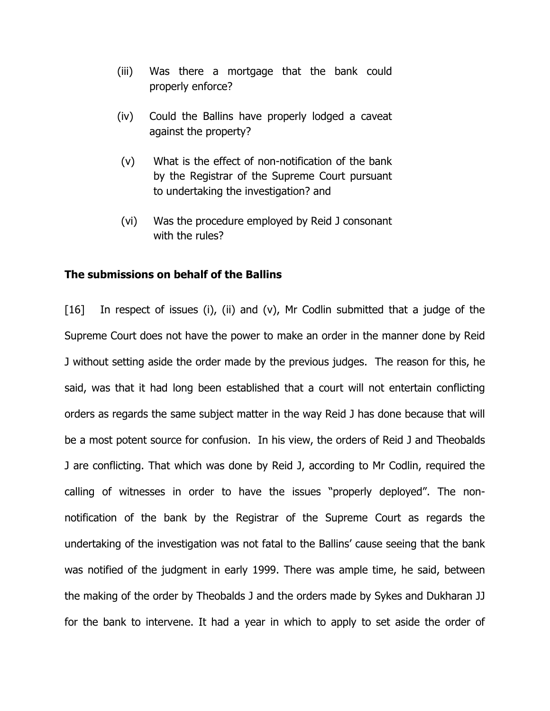- (iii) Was there a mortgage that the bank could properly enforce?
- (iv) Could the Ballins have properly lodged a caveat against the property?
- (v) What is the effect of non-notification of the bank by the Registrar of the Supreme Court pursuant to undertaking the investigation? and
- (vi) Was the procedure employed by Reid J consonant with the rules?

#### The submissions on behalf of the Ballins

[16] In respect of issues (i), (ii) and (v), Mr Codlin submitted that a judge of the Supreme Court does not have the power to make an order in the manner done by Reid J without setting aside the order made by the previous judges. The reason for this, he said, was that it had long been established that a court will not entertain conflicting orders as regards the same subject matter in the way Reid J has done because that will be a most potent source for confusion. In his view, the orders of Reid J and Theobalds J are conflicting. That which was done by Reid J, according to Mr Codlin, required the calling of witnesses in order to have the issues "properly deployed". The nonnotification of the bank by the Registrar of the Supreme Court as regards the undertaking of the investigation was not fatal to the Ballins' cause seeing that the bank was notified of the judgment in early 1999. There was ample time, he said, between the making of the order by Theobalds J and the orders made by Sykes and Dukharan JJ for the bank to intervene. It had a year in which to apply to set aside the order of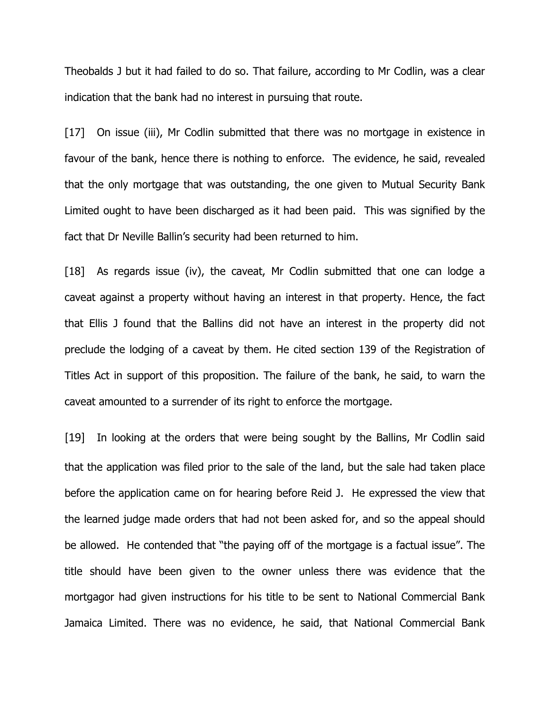Theobalds J but it had failed to do so. That failure, according to Mr Codlin, was a clear indication that the bank had no interest in pursuing that route.

[17] On issue (iii), Mr Codlin submitted that there was no mortgage in existence in favour of the bank, hence there is nothing to enforce. The evidence, he said, revealed that the only mortgage that was outstanding, the one given to Mutual Security Bank Limited ought to have been discharged as it had been paid. This was signified by the fact that Dr Neville Ballin's security had been returned to him.

[18] As regards issue (iv), the caveat, Mr Codlin submitted that one can lodge a caveat against a property without having an interest in that property. Hence, the fact that Ellis J found that the Ballins did not have an interest in the property did not preclude the lodging of a caveat by them. He cited section 139 of the Registration of Titles Act in support of this proposition. The failure of the bank, he said, to warn the caveat amounted to a surrender of its right to enforce the mortgage.

[19] In looking at the orders that were being sought by the Ballins, Mr Codlin said that the application was filed prior to the sale of the land, but the sale had taken place before the application came on for hearing before Reid J. He expressed the view that the learned judge made orders that had not been asked for, and so the appeal should be allowed. He contended that "the paying off of the mortgage is a factual issue". The title should have been given to the owner unless there was evidence that the mortgagor had given instructions for his title to be sent to National Commercial Bank Jamaica Limited. There was no evidence, he said, that National Commercial Bank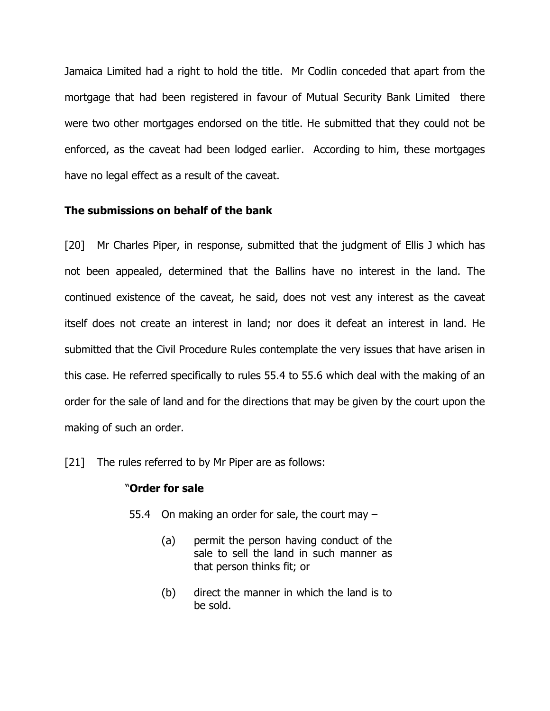Jamaica Limited had a right to hold the title. Mr Codlin conceded that apart from the mortgage that had been registered in favour of Mutual Security Bank Limited there were two other mortgages endorsed on the title. He submitted that they could not be enforced, as the caveat had been lodged earlier. According to him, these mortgages have no legal effect as a result of the caveat.

#### The submissions on behalf of the bank

[20] Mr Charles Piper, in response, submitted that the judgment of Ellis J which has not been appealed, determined that the Ballins have no interest in the land. The continued existence of the caveat, he said, does not vest any interest as the caveat itself does not create an interest in land; nor does it defeat an interest in land. He submitted that the Civil Procedure Rules contemplate the very issues that have arisen in this case. He referred specifically to rules 55.4 to 55.6 which deal with the making of an order for the sale of land and for the directions that may be given by the court upon the making of such an order.

[21] The rules referred to by Mr Piper are as follows:

#### "Order for sale

- 55.4 On making an order for sale, the court may
	- (a) permit the person having conduct of the sale to sell the land in such manner as that person thinks fit; or
	- (b) direct the manner in which the land is to be sold.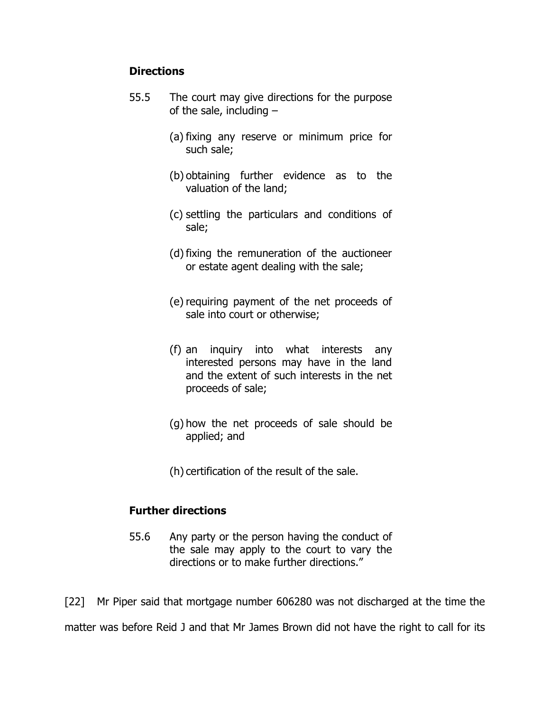### **Directions**

- 55.5 The court may give directions for the purpose of the sale, including  $-$ 
	- (a) fixing any reserve or minimum price for such sale;
	- (b) obtaining further evidence as to the valuation of the land;
	- (c) settling the particulars and conditions of sale;
	- (d)fixing the remuneration of the auctioneer or estate agent dealing with the sale;
	- (e) requiring payment of the net proceeds of sale into court or otherwise;
	- (f) an inquiry into what interests any interested persons may have in the land and the extent of such interests in the net proceeds of sale;
	- (g) how the net proceeds of sale should be applied; and
	- (h) certification of the result of the sale.

### Further directions

55.6 Any party or the person having the conduct of the sale may apply to the court to vary the directions or to make further directions."

[22] Mr Piper said that mortgage number 606280 was not discharged at the time the

matter was before Reid J and that Mr James Brown did not have the right to call for its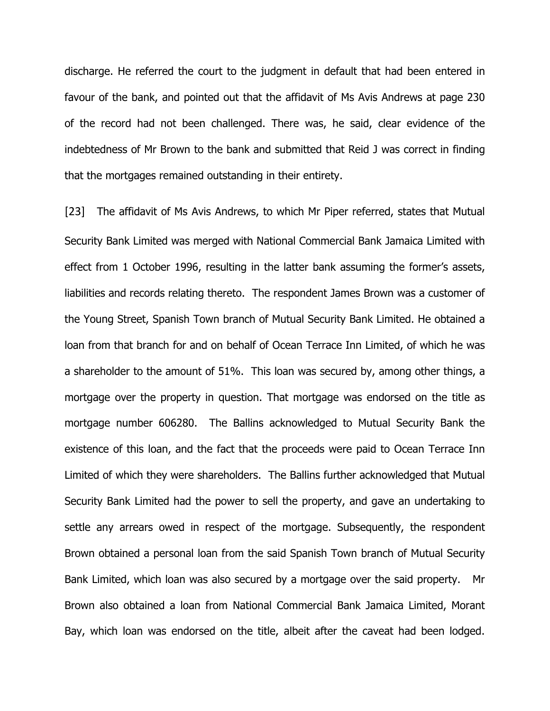discharge. He referred the court to the judgment in default that had been entered in favour of the bank, and pointed out that the affidavit of Ms Avis Andrews at page 230 of the record had not been challenged. There was, he said, clear evidence of the indebtedness of Mr Brown to the bank and submitted that Reid J was correct in finding that the mortgages remained outstanding in their entirety.

[23] The affidavit of Ms Avis Andrews, to which Mr Piper referred, states that Mutual Security Bank Limited was merged with National Commercial Bank Jamaica Limited with effect from 1 October 1996, resulting in the latter bank assuming the former's assets, liabilities and records relating thereto. The respondent James Brown was a customer of the Young Street, Spanish Town branch of Mutual Security Bank Limited. He obtained a loan from that branch for and on behalf of Ocean Terrace Inn Limited, of which he was a shareholder to the amount of 51%. This loan was secured by, among other things, a mortgage over the property in question. That mortgage was endorsed on the title as mortgage number 606280. The Ballins acknowledged to Mutual Security Bank the existence of this loan, and the fact that the proceeds were paid to Ocean Terrace Inn Limited of which they were shareholders. The Ballins further acknowledged that Mutual Security Bank Limited had the power to sell the property, and gave an undertaking to settle any arrears owed in respect of the mortgage. Subsequently, the respondent Brown obtained a personal loan from the said Spanish Town branch of Mutual Security Bank Limited, which loan was also secured by a mortgage over the said property. Mr Brown also obtained a loan from National Commercial Bank Jamaica Limited, Morant Bay, which loan was endorsed on the title, albeit after the caveat had been lodged.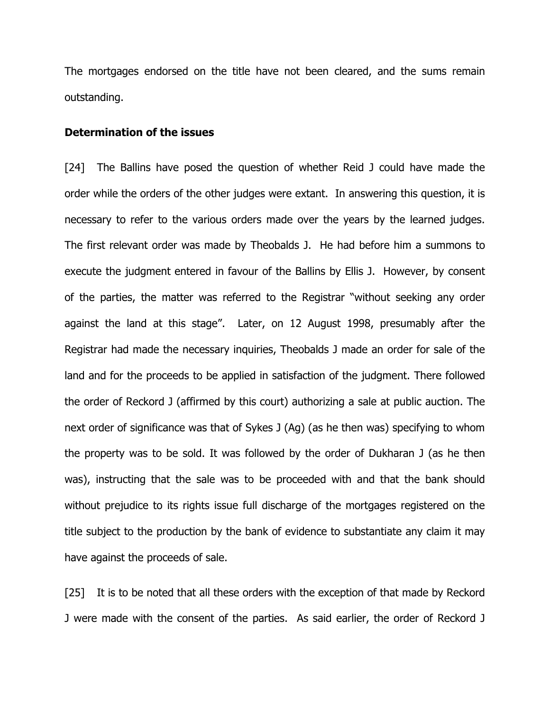The mortgages endorsed on the title have not been cleared, and the sums remain outstanding.

#### Determination of the issues

[24] The Ballins have posed the question of whether Reid J could have made the order while the orders of the other judges were extant. In answering this question, it is necessary to refer to the various orders made over the years by the learned judges. The first relevant order was made by Theobalds J. He had before him a summons to execute the judgment entered in favour of the Ballins by Ellis J. However, by consent of the parties, the matter was referred to the Registrar "without seeking any order against the land at this stage". Later, on 12 August 1998, presumably after the Registrar had made the necessary inquiries, Theobalds J made an order for sale of the land and for the proceeds to be applied in satisfaction of the judgment. There followed the order of Reckord J (affirmed by this court) authorizing a sale at public auction. The next order of significance was that of Sykes J (Ag) (as he then was) specifying to whom the property was to be sold. It was followed by the order of Dukharan J (as he then was), instructing that the sale was to be proceeded with and that the bank should without prejudice to its rights issue full discharge of the mortgages registered on the title subject to the production by the bank of evidence to substantiate any claim it may have against the proceeds of sale.

[25] It is to be noted that all these orders with the exception of that made by Reckord J were made with the consent of the parties. As said earlier, the order of Reckord J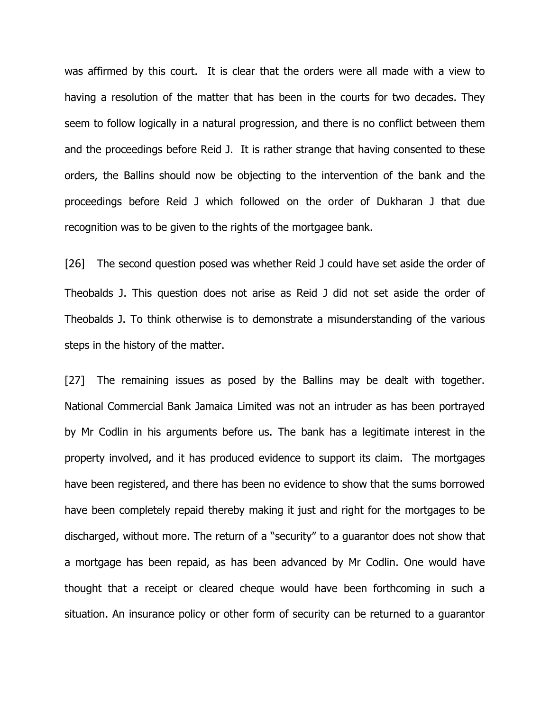was affirmed by this court. It is clear that the orders were all made with a view to having a resolution of the matter that has been in the courts for two decades. They seem to follow logically in a natural progression, and there is no conflict between them and the proceedings before Reid J. It is rather strange that having consented to these orders, the Ballins should now be objecting to the intervention of the bank and the proceedings before Reid J which followed on the order of Dukharan J that due recognition was to be given to the rights of the mortgagee bank.

[26] The second question posed was whether Reid J could have set aside the order of Theobalds J. This question does not arise as Reid J did not set aside the order of Theobalds J. To think otherwise is to demonstrate a misunderstanding of the various steps in the history of the matter.

[27] The remaining issues as posed by the Ballins may be dealt with together. National Commercial Bank Jamaica Limited was not an intruder as has been portrayed by Mr Codlin in his arguments before us. The bank has a legitimate interest in the property involved, and it has produced evidence to support its claim. The mortgages have been registered, and there has been no evidence to show that the sums borrowed have been completely repaid thereby making it just and right for the mortgages to be discharged, without more. The return of a "security" to a guarantor does not show that a mortgage has been repaid, as has been advanced by Mr Codlin. One would have thought that a receipt or cleared cheque would have been forthcoming in such a situation. An insurance policy or other form of security can be returned to a guarantor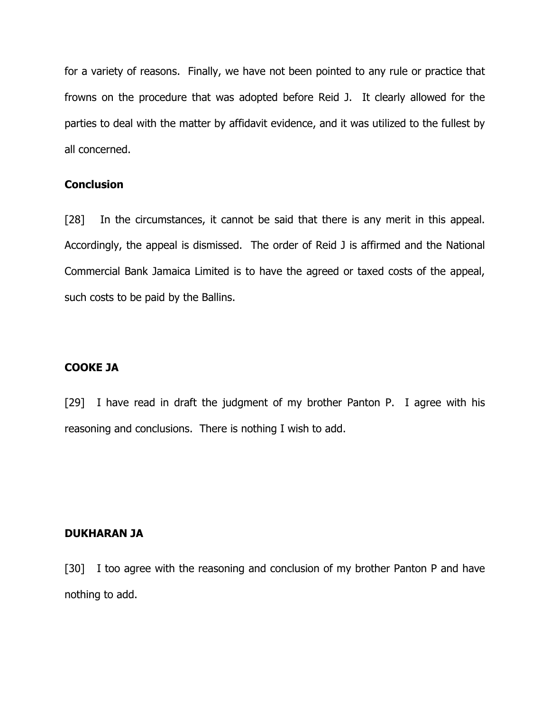for a variety of reasons. Finally, we have not been pointed to any rule or practice that frowns on the procedure that was adopted before Reid J. It clearly allowed for the parties to deal with the matter by affidavit evidence, and it was utilized to the fullest by all concerned.

### **Conclusion**

[28] In the circumstances, it cannot be said that there is any merit in this appeal. Accordingly, the appeal is dismissed. The order of Reid J is affirmed and the National Commercial Bank Jamaica Limited is to have the agreed or taxed costs of the appeal, such costs to be paid by the Ballins.

### COOKE JA

[29] I have read in draft the judgment of my brother Panton P. I agree with his reasoning and conclusions. There is nothing I wish to add.

#### DUKHARAN JA

[30] I too agree with the reasoning and conclusion of my brother Panton P and have nothing to add.